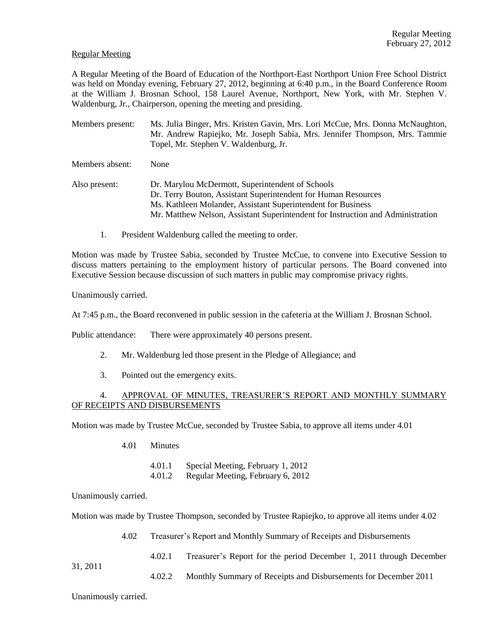## Regular Meeting

A Regular Meeting of the Board of Education of the Northport-East Northport Union Free School District was held on Monday evening, February 27, 2012, beginning at 6:40 p.m., in the Board Conference Room at the William J. Brosnan School, 158 Laurel Avenue, Northport, New York, with Mr. Stephen V. Waldenburg, Jr., Chairperson, opening the meeting and presiding.

- Members present: Ms. Julia Binger, Mrs. Kristen Gavin, Mrs. Lori McCue, Mrs. Donna McNaughton, Mr. Andrew Rapiejko, Mr. Joseph Sabia, Mrs. Jennifer Thompson, Mrs. Tammie Topel, Mr. Stephen V. Waldenburg, Jr.
- Members absent: None
- Also present: Dr. Marylou McDermott, Superintendent of Schools Dr. Terry Bouton, Assistant Superintendent for Human Resources Ms. Kathleen Molander, Assistant Superintendent for Business Mr. Matthew Nelson, Assistant Superintendent for Instruction and Administration
	- 1. President Waldenburg called the meeting to order.

Motion was made by Trustee Sabia, seconded by Trustee McCue, to convene into Executive Session to discuss matters pertaining to the employment history of particular persons. The Board convened into Executive Session because discussion of such matters in public may compromise privacy rights.

Unanimously carried.

At 7:45 p.m., the Board reconvened in public session in the cafeteria at the William J. Brosnan School.

Public attendance: There were approximately 40 persons present.

- 2. Mr. Waldenburg led those present in the Pledge of Allegiance; and
- 3. Pointed out the emergency exits.

# 4. APPROVAL OF MINUTES, TREASURER'S REPORT AND MONTHLY SUMMARY OF RECEIPTS AND DISBURSEMENTS

Motion was made by Trustee McCue, seconded by Trustee Sabia, to approve all items under 4.01

4.01 Minutes

4.01.1 Special Meeting, February 1, 2012

4.01.2 Regular Meeting, February 6, 2012

Unanimously carried.

Motion was made by Trustee Thompson, seconded by Trustee Rapiejko, to approve all items under 4.02

4.02 Treasurer's Report and Monthly Summary of Receipts and Disbursements

- 4.02.1 Treasurer's Report for the period December 1, 2011 through December
- 4.02.2 Monthly Summary of Receipts and Disbursements for December 2011

Unanimously carried.

31, 2011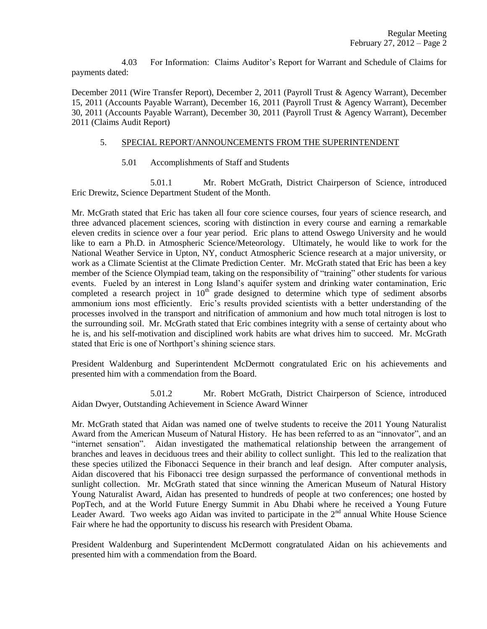4.03 For Information: Claims Auditor's Report for Warrant and Schedule of Claims for payments dated:

December 2011 (Wire Transfer Report), December 2, 2011 (Payroll Trust & Agency Warrant), December 15, 2011 (Accounts Payable Warrant), December 16, 2011 (Payroll Trust & Agency Warrant), December 30, 2011 (Accounts Payable Warrant), December 30, 2011 (Payroll Trust & Agency Warrant), December 2011 (Claims Audit Report)

### 5. SPECIAL REPORT/ANNOUNCEMENTS FROM THE SUPERINTENDENT

5.01 Accomplishments of Staff and Students

5.01.1 Mr. Robert McGrath, District Chairperson of Science, introduced Eric Drewitz, Science Department Student of the Month.

Mr. McGrath stated that Eric has taken all four core science courses, four years of science research, and three advanced placement sciences, scoring with distinction in every course and earning a remarkable eleven credits in science over a four year period. Eric plans to attend Oswego University and he would like to earn a Ph.D. in Atmospheric Science/Meteorology. Ultimately, he would like to work for the National Weather Service in Upton, NY, conduct Atmospheric Science research at a major university, or work as a Climate Scientist at the Climate Prediction Center. Mr. McGrath stated that Eric has been a key member of the Science Olympiad team, taking on the responsibility of "training" other students for various events. Fueled by an interest in Long Island's aquifer system and drinking water contamination, Eric completed a research project in  $10^{th}$  grade designed to determine which type of sediment absorbs ammonium ions most efficiently. Eric's results provided scientists with a better understanding of the processes involved in the transport and nitrification of ammonium and how much total nitrogen is lost to the surrounding soil. Mr. McGrath stated that Eric combines integrity with a sense of certainty about who he is, and his self-motivation and disciplined work habits are what drives him to succeed. Mr. McGrath stated that Eric is one of Northport's shining science stars.

President Waldenburg and Superintendent McDermott congratulated Eric on his achievements and presented him with a commendation from the Board.

5.01.2 Mr. Robert McGrath, District Chairperson of Science, introduced Aidan Dwyer, Outstanding Achievement in Science Award Winner

Mr. McGrath stated that Aidan was named one of twelve students to receive the 2011 Young Naturalist Award from the American Museum of Natural History. He has been referred to as an "innovator", and an "internet sensation". Aidan investigated the mathematical relationship between the arrangement of branches and leaves in deciduous trees and their ability to collect sunlight. This led to the realization that these species utilized the Fibonacci Sequence in their branch and leaf design. After computer analysis, Aidan discovered that his Fibonacci tree design surpassed the performance of conventional methods in sunlight collection. Mr. McGrath stated that since winning the American Museum of Natural History Young Naturalist Award, Aidan has presented to hundreds of people at two conferences; one hosted by PopTech, and at the World Future Energy Summit in Abu Dhabi where he received a Young Future Leader Award. Two weeks ago Aidan was invited to participate in the  $2<sup>nd</sup>$  annual White House Science Fair where he had the opportunity to discuss his research with President Obama.

President Waldenburg and Superintendent McDermott congratulated Aidan on his achievements and presented him with a commendation from the Board.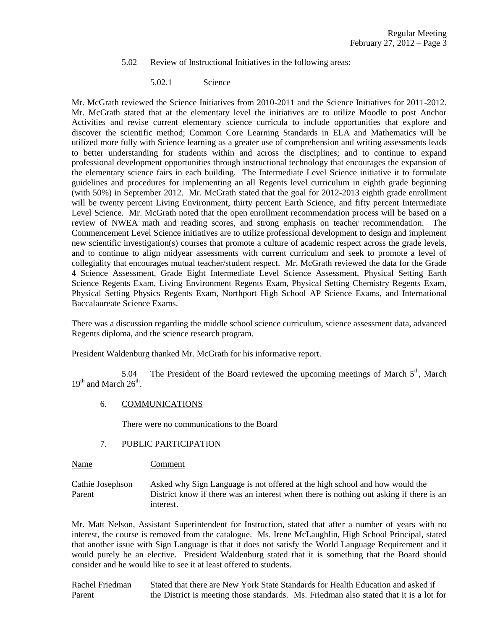- 5.02 Review of Instructional Initiatives in the following areas:
	- 5.02.1 Science

Mr. McGrath reviewed the Science Initiatives from 2010-2011 and the Science Initiatives for 2011-2012. Mr. McGrath stated that at the elementary level the initiatives are to utilize Moodle to post Anchor Activities and revise current elementary science curricula to include opportunities that explore and discover the scientific method; Common Core Learning Standards in ELA and Mathematics will be utilized more fully with Science learning as a greater use of comprehension and writing assessments leads to better understanding for students within and across the disciplines; and to continue to expand professional development opportunities through instructional technology that encourages the expansion of the elementary science fairs in each building. The Intermediate Level Science initiative it to formulate guidelines and procedures for implementing an all Regents level curriculum in eighth grade beginning (with 50%) in September 2012. Mr. McGrath stated that the goal for 2012-2013 eighth grade enrollment will be twenty percent Living Environment, thirty percent Earth Science, and fifty percent Intermediate Level Science. Mr. McGrath noted that the open enrollment recommendation process will be based on a review of NWEA math and reading scores, and strong emphasis on teacher recommendation. The Commencement Level Science initiatives are to utilize professional development to design and implement new scientific investigation(s) courses that promote a culture of academic respect across the grade levels, and to continue to align midyear assessments with current curriculum and seek to promote a level of collegiality that encourages mutual teacher/student respect. Mr. McGrath reviewed the data for the Grade 4 Science Assessment, Grade Eight Intermediate Level Science Assessment, Physical Setting Earth Science Regents Exam, Living Environment Regents Exam, Physical Setting Chemistry Regents Exam, Physical Setting Physics Regents Exam, Northport High School AP Science Exams, and International Baccalaureate Science Exams.

There was a discussion regarding the middle school science curriculum, science assessment data, advanced Regents diploma, and the science research program.

President Waldenburg thanked Mr. McGrath for his informative report.

5.04 The President of the Board reviewed the upcoming meetings of March  $5<sup>th</sup>$ , March  $19<sup>th</sup>$  and March  $26<sup>th</sup>$ .

# 6. COMMUNICATIONS

There were no communications to the Board

#### 7. PUBLIC PARTICIPATION

Name Comment

Cathie Josephson Asked why Sign Language is not offered at the high school and how would the Parent District know if there was an interest when there is nothing out asking if there is an interest.

Mr. Matt Nelson, Assistant Superintendent for Instruction, stated that after a number of years with no interest, the course is removed from the catalogue. Ms. Irene McLaughlin, High School Principal, stated that another issue with Sign Language is that it does not satisfy the World Language Requirement and it would purely be an elective. President Waldenburg stated that it is something that the Board should consider and he would like to see it at least offered to students.

Rachel Friedman Stated that there are New York State Standards for Health Education and asked if Parent the District is meeting those standards. Ms. Friedman also stated that it is a lot for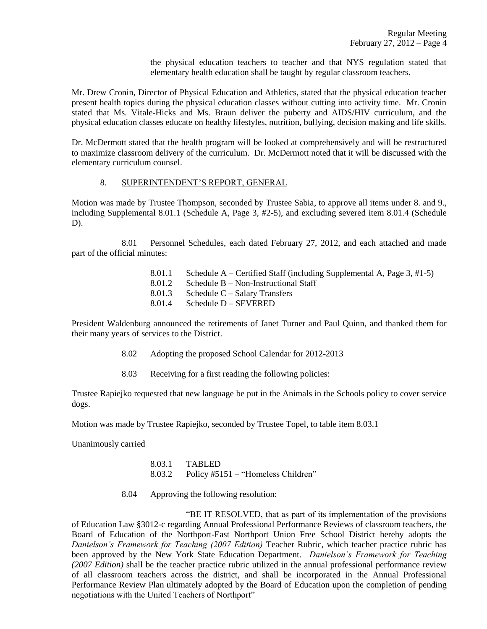the physical education teachers to teacher and that NYS regulation stated that elementary health education shall be taught by regular classroom teachers.

Mr. Drew Cronin, Director of Physical Education and Athletics, stated that the physical education teacher present health topics during the physical education classes without cutting into activity time. Mr. Cronin stated that Ms. Vitale-Hicks and Ms. Braun deliver the puberty and AIDS/HIV curriculum, and the physical education classes educate on healthy lifestyles, nutrition, bullying, decision making and life skills.

Dr. McDermott stated that the health program will be looked at comprehensively and will be restructured to maximize classroom delivery of the curriculum. Dr. McDermott noted that it will be discussed with the elementary curriculum counsel.

### 8. SUPERINTENDENT'S REPORT, GENERAL

Motion was made by Trustee Thompson, seconded by Trustee Sabia, to approve all items under 8. and 9., including Supplemental 8.01.1 (Schedule A, Page 3, #2-5), and excluding severed item 8.01.4 (Schedule D).

8.01 Personnel Schedules, each dated February 27, 2012, and each attached and made part of the official minutes:

> 8.01.1 Schedule A – Certified Staff (including Supplemental A, Page 3, #1-5) 8.01.2 Schedule B – Non-Instructional Staff 8.01.3 Schedule C – Salary Transfers 8.01.4 Schedule D – SEVERED

President Waldenburg announced the retirements of Janet Turner and Paul Quinn, and thanked them for their many years of services to the District.

- 8.02 Adopting the proposed School Calendar for 2012-2013
- 8.03 Receiving for a first reading the following policies:

Trustee Rapiejko requested that new language be put in the Animals in the Schools policy to cover service dogs.

Motion was made by Trustee Rapiejko, seconded by Trustee Topel, to table item 8.03.1

Unanimously carried

8.03.1 TABLED 8.03.2 Policy #5151 – "Homeless Children"

8.04 Approving the following resolution:

"BE IT RESOLVED, that as part of its implementation of the provisions of Education Law §3012-c regarding Annual Professional Performance Reviews of classroom teachers, the Board of Education of the Northport-East Northport Union Free School District hereby adopts the *Danielson's Framework for Teaching (2007 Edition)* Teacher Rubric, which teacher practice rubric has been approved by the New York State Education Department. *Danielson's Framework for Teaching (2007 Edition)* shall be the teacher practice rubric utilized in the annual professional performance review of all classroom teachers across the district, and shall be incorporated in the Annual Professional Performance Review Plan ultimately adopted by the Board of Education upon the completion of pending negotiations with the United Teachers of Northport"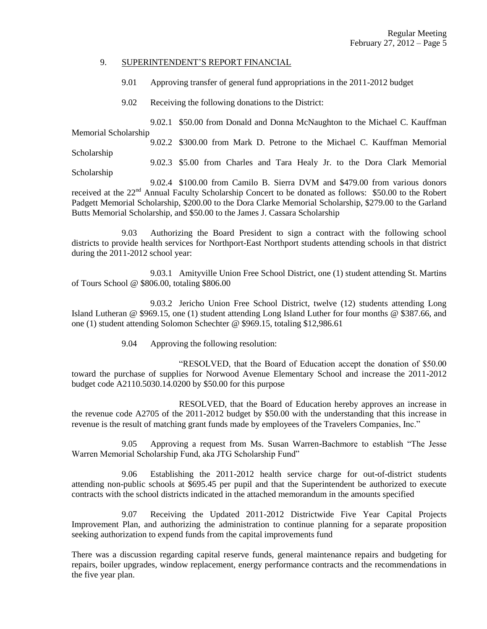#### 9. SUPERINTENDENT'S REPORT FINANCIAL

9.01 Approving transfer of general fund appropriations in the 2011-2012 budget

9.02 Receiving the following donations to the District:

9.02.1 \$50.00 from Donald and Donna McNaughton to the Michael C. Kauffman Memorial Scholarship

9.02.2 \$300.00 from Mark D. Petrone to the Michael C. Kauffman Memorial Scholarship

9.02.3 \$5.00 from Charles and Tara Healy Jr. to the Dora Clark Memorial Scholarship

9.02.4 \$100.00 from Camilo B. Sierra DVM and \$479.00 from various donors received at the 22<sup>nd</sup> Annual Faculty Scholarship Concert to be donated as follows: \$50.00 to the Robert Padgett Memorial Scholarship, \$200.00 to the Dora Clarke Memorial Scholarship, \$279.00 to the Garland Butts Memorial Scholarship, and \$50.00 to the James J. Cassara Scholarship

9.03 Authorizing the Board President to sign a contract with the following school districts to provide health services for Northport-East Northport students attending schools in that district during the 2011-2012 school year:

9.03.1 Amityville Union Free School District, one (1) student attending St. Martins of Tours School @ \$806.00, totaling \$806.00

9.03.2 Jericho Union Free School District, twelve (12) students attending Long Island Lutheran @ \$969.15, one (1) student attending Long Island Luther for four months @ \$387.66, and one (1) student attending Solomon Schechter @ \$969.15, totaling \$12,986.61

9.04 Approving the following resolution:

"RESOLVED, that the Board of Education accept the donation of \$50.00 toward the purchase of supplies for Norwood Avenue Elementary School and increase the 2011-2012 budget code A2110.5030.14.0200 by \$50.00 for this purpose

RESOLVED, that the Board of Education hereby approves an increase in the revenue code A2705 of the 2011-2012 budget by \$50.00 with the understanding that this increase in revenue is the result of matching grant funds made by employees of the Travelers Companies, Inc."

9.05 Approving a request from Ms. Susan Warren-Bachmore to establish "The Jesse Warren Memorial Scholarship Fund, aka JTG Scholarship Fund"

9.06 Establishing the 2011-2012 health service charge for out-of-district students attending non-public schools at \$695.45 per pupil and that the Superintendent be authorized to execute contracts with the school districts indicated in the attached memorandum in the amounts specified

9.07 Receiving the Updated 2011-2012 Districtwide Five Year Capital Projects Improvement Plan, and authorizing the administration to continue planning for a separate proposition seeking authorization to expend funds from the capital improvements fund

There was a discussion regarding capital reserve funds, general maintenance repairs and budgeting for repairs, boiler upgrades, window replacement, energy performance contracts and the recommendations in the five year plan.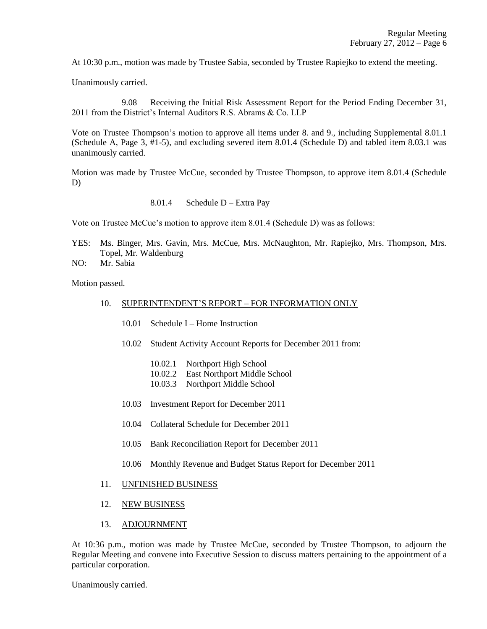At 10:30 p.m., motion was made by Trustee Sabia, seconded by Trustee Rapiejko to extend the meeting.

Unanimously carried.

9.08 Receiving the Initial Risk Assessment Report for the Period Ending December 31, 2011 from the District's Internal Auditors R.S. Abrams & Co. LLP

Vote on Trustee Thompson's motion to approve all items under 8. and 9., including Supplemental 8.01.1 (Schedule A, Page 3, #1-5), and excluding severed item 8.01.4 (Schedule D) and tabled item 8.03.1 was unanimously carried.

Motion was made by Trustee McCue, seconded by Trustee Thompson, to approve item 8.01.4 (Schedule D)

8.01.4 Schedule D – Extra Pay

Vote on Trustee McCue's motion to approve item 8.01.4 (Schedule D) was as follows:

- YES: Ms. Binger, Mrs. Gavin, Mrs. McCue, Mrs. McNaughton, Mr. Rapiejko, Mrs. Thompson, Mrs. Topel, Mr. Waldenburg
- NO: Mr. Sabia

Motion passed.

#### 10. SUPERINTENDENT'S REPORT – FOR INFORMATION ONLY

- 10.01 Schedule I Home Instruction
- 10.02 Student Activity Account Reports for December 2011 from:
	- 10.02.1 Northport High School
	- 10.02.2 East Northport Middle School
	- 10.03.3 Northport Middle School
- 10.03 Investment Report for December 2011
- 10.04 Collateral Schedule for December 2011
- 10.05 Bank Reconciliation Report for December 2011
- 10.06 Monthly Revenue and Budget Status Report for December 2011
- 11. UNFINISHED BUSINESS
- 12. NEW BUSINESS
- 13. ADJOURNMENT

At 10:36 p.m., motion was made by Trustee McCue, seconded by Trustee Thompson, to adjourn the Regular Meeting and convene into Executive Session to discuss matters pertaining to the appointment of a particular corporation.

Unanimously carried.